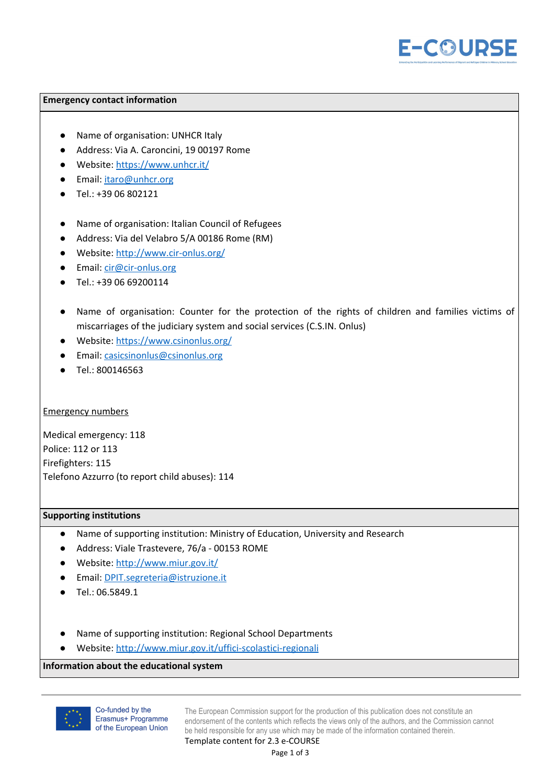

### **Emergency contact information**

- Name of organisation: UNHCR Italy
- Address: Via A. Caroncini, 19 00197 Rome
- Website: <https://www.unhcr.it/>
- Email: [itaro@unhcr.org](mailto:itaro@unhcr.org)
- Tel.: +39 06 802121
- Name of organisation: Italian Council of Refugees
- Address: Via del Velabro 5/A 00186 Rome (RM)
- Website: <http://www.cir-onlus.org/>
- Email: [cir@cir-onlus.org](mailto:cir@cir-onlus.org)
- Tel.: +39 06 69200114
- Name of organisation: Counter for the protection of the rights of children and families victims of miscarriages of the judiciary system and social services (C.S.IN. Onlus)
- Website: <https://www.csinonlus.org/>
- Email: [casicsinonlus@csinonlus.org](mailto:casicsinonlus@csinonlus.org)
- Tel.: 800146563

## Emergency numbers

Medical emergency: 118 Police: 112 or 113 Firefighters: 115 Telefono Azzurro (to report child abuses): 114

## **Supporting institutions**

- Name of supporting institution: Ministry of Education, University and Research
- Address: Viale Trastevere, 76/a 00153 ROME
- Website: <http://www.miur.gov.it/>
- Email: [DPIT.segreteria@istruzione.it](mailto:DPIT.segreteria@istruzione.it)
- Tel.: 06.5849.1
- Name of supporting institution: Regional School Departments
- Website: <http://www.miur.gov.it/uffici-scolastici-regionali>

## **Information about the educational system**



Co-funded by the Erasmus+ Programme of the European Union

The European Commission support for the production of this publication does not constitute an endorsement of the contents which reflects the views only of the authors, and the Commission cannot be held responsible for any use which may be made of the information contained therein.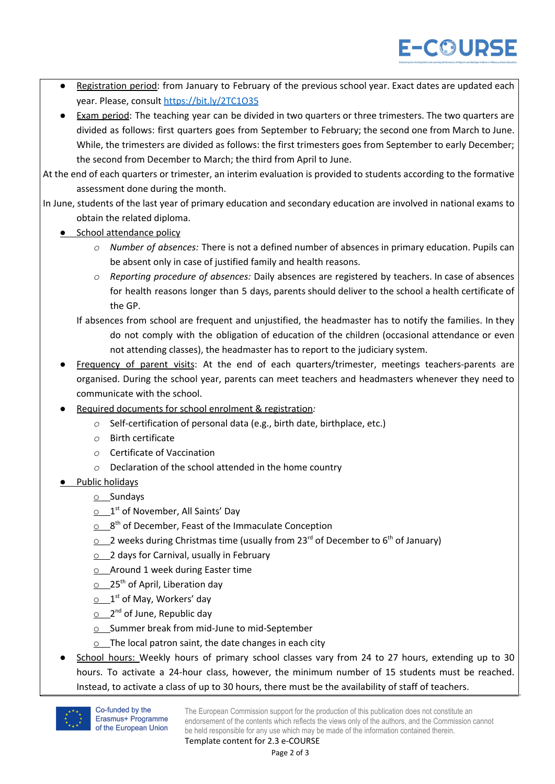- Registration period: from January to February of the previous school year. Exact dates are updated each year. Please, consult <https://bit.ly/2TC1O35>
- Exam period: The teaching year can be divided in two quarters or three trimesters. The two quarters are divided as follows: first quarters goes from September to February; the second one from March to June. While, the trimesters are divided as follows: the first trimesters goes from September to early December; the second from December to March; the third from April to June.

At the end of each quarters or trimester, an interim evaluation is provided to students according to the formative assessment done during the month.

- In June, students of the last year of primary education and secondary education are involved in national exams to obtain the related diploma.
	- *●* School attendance policy
		- *o Number of absences:* There is not a defined number of absences in primary education. Pupils can be absent only in case of justified family and health reasons.
		- *o Reporting procedure of absences:* Daily absences are registered by teachers. In case of absences for health reasons longer than 5 days, parents should deliver to the school a health certificate of the GP.
		- If absences from school are frequent and unjustified, the headmaster has to notify the families. In they do not comply with the obligation of education of the children (occasional attendance or even not attending classes), the headmaster has to report to the judiciary system.
	- Frequency of parent visits: At the end of each quarters/trimester, meetings teachers-parents are organised. During the school year, parents can meet teachers and headmasters whenever they need to communicate with the school.
	- *●* Required documents for school enrolment & registration*:*
		- *o* Self-certification of personal data (e.g., birth date, birthplace, etc.)
		- *o* Birth certificate
		- *o* Certificate of Vaccination
		- *o* Declaration of the school attended in the home country
	- **•** Public holidays
		- o Sundays
		- 1<sup>st</sup> of November, All Saints' Day
		- $\Omega$   $8<sup>th</sup>$  of December, Feast of the Immaculate Conception
		- $\circ$  \_2 weeks during Christmas time (usually from 23<sup>rd</sup> of December to 6<sup>th</sup> of January)
		- $\circ$  2 days for Carnival, usually in February
		- $\circ$  Around 1 week during Easter time
		- 25<sup>th</sup> of April, Liberation day
		- $\circ$  1st of May, Workers' day
		- 2<sup>nd</sup> of June, Republic day
		- o Summer break from mid-June to mid-September
		- $\circ$  The local patron saint, the date changes in each city
	- School hours: Weekly hours of primary school classes vary from 24 to 27 hours, extending up to 30 hours. To activate a 24-hour class, however, the minimum number of 15 students must be reached. Instead, to activate a class of up to 30 hours, there must be the availability of staff of teachers.